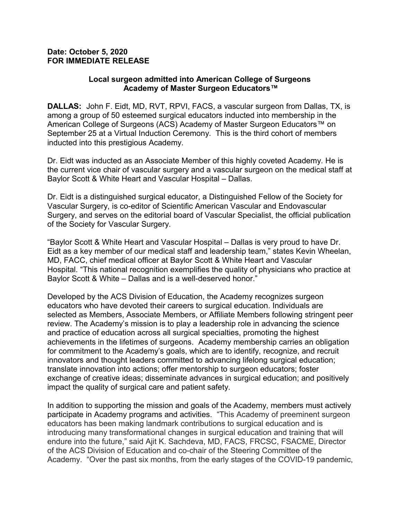## **Date: October 5, 2020 FOR IMMEDIATE RELEASE**

## **Local surgeon admitted into American College of Surgeons Academy of Master Surgeon Educators™**

**DALLAS:** John F. Eidt, MD, RVT, RPVI, FACS, a vascular surgeon from Dallas, TX, is among a group of 50 esteemed surgical educators inducted into membership in the American College of Surgeons (ACS) Academy of Master Surgeon Educators™ on September 25 at a Virtual Induction Ceremony. This is the third cohort of members inducted into this prestigious Academy.

Dr. Eidt was inducted as an Associate Member of this highly coveted Academy. He is the current vice chair of vascular surgery and a vascular surgeon on the medical staff at Baylor Scott & White Heart and Vascular Hospital – Dallas.

Dr. Eidt is a distinguished surgical educator, a Distinguished Fellow of the Society for Vascular Surgery, is co-editor of Scientific American Vascular and Endovascular Surgery, and serves on the editorial board of Vascular Specialist, the official publication of the Society for Vascular Surgery.

"Baylor Scott & White Heart and Vascular Hospital – Dallas is very proud to have Dr. Eidt as a key member of our medical staff and leadership team," states Kevin Wheelan, MD, FACC, chief medical officer at Baylor Scott & White Heart and Vascular Hospital. "This national recognition exemplifies the quality of physicians who practice at Baylor Scott & White – Dallas and is a well-deserved honor."

Developed by the ACS Division of Education, the Academy recognizes surgeon educators who have devoted their careers to surgical education. Individuals are selected as Members, Associate Members, or Affiliate Members following stringent peer review. The Academy's mission is to play a leadership role in advancing the science and practice of education across all surgical specialties, promoting the highest achievements in the lifetimes of surgeons. Academy membership carries an obligation for commitment to the Academy's goals, which are to identify, recognize, and recruit innovators and thought leaders committed to advancing lifelong surgical education; translate innovation into actions; offer mentorship to surgeon educators; foster exchange of creative ideas; disseminate advances in surgical education; and positively impact the quality of surgical care and patient safety.

In addition to supporting the mission and goals of the Academy, members must actively participate in Academy programs and activities. "This Academy of preeminent surgeon educators has been making landmark contributions to surgical education and is introducing many transformational changes in surgical education and training that will endure into the future," said Ajit K. Sachdeva, MD, FACS, FRCSC, FSACME, Director of the ACS Division of Education and co-chair of the Steering Committee of the Academy. "Over the past six months, from the early stages of the COVID-19 pandemic,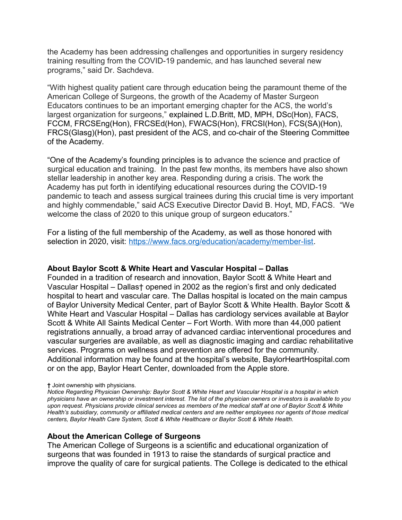the Academy has been addressing challenges and opportunities in surgery residency training resulting from the COVID-19 pandemic, and has launched several new programs," said Dr. Sachdeva.

"With highest quality patient care through education being the paramount theme of the American College of Surgeons, the growth of the Academy of Master Surgeon Educators continues to be an important emerging chapter for the ACS, the world's largest organization for surgeons," explained L.D.Britt, MD, MPH, DSc(Hon), FACS, FCCM, FRCSEng(Hon), FRCSEd(Hon), FWACS(Hon), FRCSI(Hon), FCS(SA)(Hon), FRCS(Glasg)(Hon), past president of the ACS, and co-chair of the Steering Committee of the Academy.

"One of the Academy's founding principles is to advance the science and practice of surgical education and training. In the past few months, its members have also shown stellar leadership in another key area. Responding during a crisis. The work the Academy has put forth in identifying educational resources during the COVID-19 pandemic to teach and assess surgical trainees during this crucial time is very important and highly commendable," said ACS Executive Director David B. Hoyt, MD, FACS. "We welcome the class of 2020 to this unique group of surgeon educators."

For a listing of the full membership of the Academy, as well as those honored with selection in 2020, visit: [https://www.facs.org/education/academy/member-list.](https://www.facs.org/education/academy/member-list)

## **About Baylor Scott & White Heart and Vascular Hospital – Dallas**

Founded in a tradition of research and innovation, Baylor Scott & White Heart and Vascular Hospital – Dallas† opened in 2002 as the region's first and only dedicated hospital to heart and vascular care. The Dallas hospital is located on the main campus of Baylor University Medical Center, part of Baylor Scott & White Health. Baylor Scott & White Heart and Vascular Hospital – Dallas has cardiology services available at Baylor Scott & White All Saints Medical Center – Fort Worth. With more than 44,000 patient registrations annually, a broad array of advanced cardiac interventional procedures and vascular surgeries are available, as well as diagnostic imaging and cardiac rehabilitative services. Programs on wellness and prevention are offered for the community. Additional information may be found at the hospital's website, BaylorHeartHospital.com or on the app, Baylor Heart Center, downloaded from the Apple store.

*Notice Regarding Physician Ownership: Baylor Scott & White Heart and Vascular Hospital is a hospital in which physicians have an ownership or investment interest. The list of the physician owners or investors is available to you upon request. Physicians provide clinical services as members of the medical staff at one of Baylor Scott & White Health's subsidiary, community or affiliated medical centers and are neither employees nor agents of those medical centers, Baylor Health Care System, Scott & White Healthcare or Baylor Scott & White Health.*

## **About the American College of Surgeons**

The American College of Surgeons is a scientific and educational organization of surgeons that was founded in 1913 to raise the standards of surgical practice and improve the quality of care for surgical patients. The College is dedicated to the ethical

**<sup>†</sup>** Joint ownership with physicians.